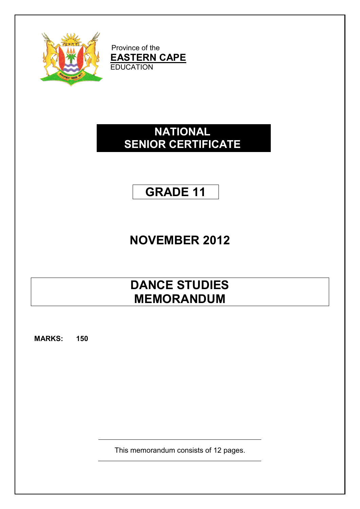

Province of the **EASTERN CAPE EDUCATION** 

# **NATIONAL SENIOR CERTIFICATE**

# **GRADE 11**

# **NOVEMBER 2012**

# **DANCE STUDIES MEMORANDUM**

**MARKS: 150**

This memorandum consists of 12 pages.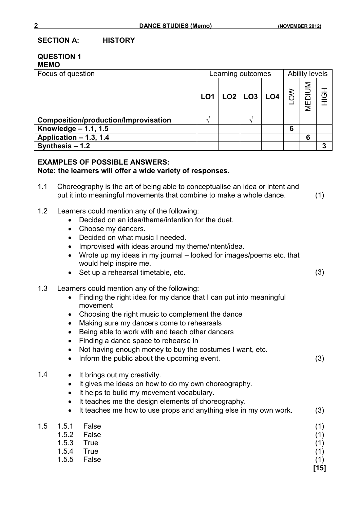**SECTION A: HISTORY**

#### **QUESTION 1 MEMO**

| Focus of question                    | Learning outcomes |  |  | <b>Ability levels</b>                                            |   |        |        |
|--------------------------------------|-------------------|--|--|------------------------------------------------------------------|---|--------|--------|
|                                      | LO <sub>1</sub>   |  |  | $\vert$ LO2 $\vert$ LO3 $\vert$ LO4 $\vert$ $\gtrless$ $\vert$ . |   | MEDIUM | 공<br>도 |
| Composition/production/Improvisation |                   |  |  |                                                                  |   |        |        |
| Knowledge $- 1.1, 1.5$               |                   |  |  |                                                                  | 6 |        |        |
| Application - 1.3, 1.4               |                   |  |  |                                                                  |   | 6      |        |
| Synthesis - 1.2                      |                   |  |  |                                                                  |   |        | 3      |

#### **EXAMPLES OF POSSIBLE ANSWERS:**

#### **Note: the learners will offer a wide variety of responses.**

- 1.1 Choreography is the art of being able to conceptualise an idea or intent and put it into meaningful movements that combine to make a whole dance. (1)
- 1.2 Learners could mention any of the following:
	- Decided on an idea/theme/intention for the duet.
	- Choose my dancers.
	- Decided on what music I needed.
	- Improvised with ideas around my theme/intent/idea.
	- Wrote up my ideas in my journal looked for images/poems etc. that would help inspire me.
	- Set up a rehearsal timetable, etc. (3)
- 1.3 Learners could mention any of the following:
	- Finding the right idea for my dance that I can put into meaningful movement
	- Choosing the right music to complement the dance
	- Making sure my dancers come to rehearsals
	- Being able to work with and teach other dancers
	- Finding a dance space to rehearse in
	- Not having enough money to buy the costumes I want, etc.
	- Inform the public about the upcoming event. (3)
- 1.4 It brings out my creativity.
	- It gives me ideas on how to do my own choreography.
	- It helps to build my movement vocabulary.
	- It teaches me the design elements of choreography.
	- It teaches me how to use props and anything else in my own work.  $(3)$

| 1.5  1.5.1  False |             | (1)  |
|-------------------|-------------|------|
|                   | 1.5.2 False | (1)  |
| 1.5.3 True        |             | (1)  |
| 1.5.4 True        |             | (1)  |
|                   | 1.5.5 False | (1)  |
|                   |             | [15] |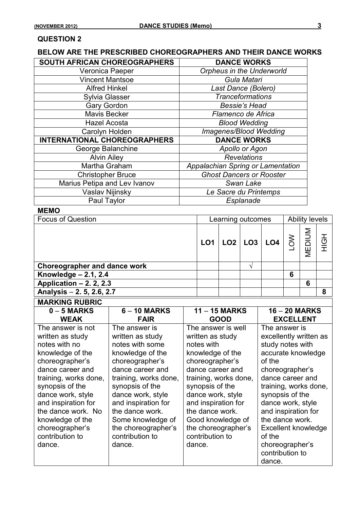#### **QUESTION 2**

### **BELOW ARE THE PRESCRIBED CHOREOGRAPHERS AND THEIR DANCE WORKS**

| SOUTH AFRICAN CHOREOGRAPHERS        | <b>DANCE WORKS</b>                |
|-------------------------------------|-----------------------------------|
| Veronica Paeper                     | <b>Orpheus in the Underworld</b>  |
| <b>Vincent Mantsoe</b>              | Gula Matari                       |
| <b>Alfred Hinkel</b>                | Last Dance (Bolero)               |
| <b>Sylvia Glasser</b>               | <b>Tranceformations</b>           |
| <b>Gary Gordon</b>                  | <b>Bessie's Head</b>              |
| <b>Mavis Becker</b>                 | Flamenco de Africa                |
| <b>Hazel Acosta</b>                 | <b>Blood Wedding</b>              |
| Carolyn Holden                      | Imagenes/Blood Wedding            |
| <b>INTERNATIONAL CHOREOGRAPHERS</b> | <b>DANCE WORKS</b>                |
| George Balanchine                   | Apollo or Agon                    |
| <b>Alvin Ailey</b>                  | <b>Revelations</b>                |
| Martha Graham                       | Appalachian Spring or Lamentation |
| <b>Christopher Bruce</b>            | <b>Ghost Dancers or Rooster</b>   |
| Marius Petipa and Lev Ivanov        | Swan Lake                         |
| Vaslav Nijinsky                     | Le Sacre du Printemps             |
| Paul Taylor                         | Esplanade                         |

#### **MEMO**

| <b>Focus of Question</b><br>Learning outcomes |                 |  |  | <b>Ability levels</b>       |              |        |                |
|-----------------------------------------------|-----------------|--|--|-----------------------------|--------------|--------|----------------|
|                                               | LO <sub>1</sub> |  |  | $ $ LO2 $ $ LO3 $ $ LO4 $ $ | $rac{8}{10}$ | MEDIUM | $\overline{5}$ |
| <b>Choreographer and dance work</b>           |                 |  |  |                             |              |        |                |
| Knowledge $-2.1$ , 2.4                        |                 |  |  |                             | 6            |        |                |
| Application $-2$ . 2, 2.3                     |                 |  |  |                             |              | 6      |                |
| Analysis - 2. 5, 2.6, 2.7                     |                 |  |  |                             |              |        | 8              |

| <b>MARKING RUBRIC</b>                                                                                                                                                                                                                                                                               |                                                                                                                                                                                                                                                                                                     |                                                                                                                                                                                                                                                                                                     |                                                                                                                                                                                                                                                                                                   |
|-----------------------------------------------------------------------------------------------------------------------------------------------------------------------------------------------------------------------------------------------------------------------------------------------------|-----------------------------------------------------------------------------------------------------------------------------------------------------------------------------------------------------------------------------------------------------------------------------------------------------|-----------------------------------------------------------------------------------------------------------------------------------------------------------------------------------------------------------------------------------------------------------------------------------------------------|---------------------------------------------------------------------------------------------------------------------------------------------------------------------------------------------------------------------------------------------------------------------------------------------------|
| $0 - 5$ MARKS                                                                                                                                                                                                                                                                                       | $6 - 10$ MARKS                                                                                                                                                                                                                                                                                      | $11 - 15$ MARKS                                                                                                                                                                                                                                                                                     | $16 - 20$ MARKS                                                                                                                                                                                                                                                                                   |
| <b>WEAK</b>                                                                                                                                                                                                                                                                                         | <b>FAIR</b>                                                                                                                                                                                                                                                                                         | <b>GOOD</b>                                                                                                                                                                                                                                                                                         | <b>EXCELLENT</b>                                                                                                                                                                                                                                                                                  |
| The answer is not<br>written as study<br>notes with no<br>knowledge of the<br>choreographer's<br>dance career and<br>training, works done,<br>synopsis of the<br>dance work, style<br>and inspiration for<br>the dance work. No<br>knowledge of the<br>choreographer's<br>contribution to<br>dance. | The answer is<br>written as study<br>notes with some<br>knowledge of the<br>choreographer's<br>dance career and<br>training, works done,<br>synopsis of the<br>dance work, style<br>and inspiration for<br>the dance work.<br>Some knowledge of<br>the choreographer's<br>contribution to<br>dance. | The answer is well<br>written as study<br>notes with<br>knowledge of the<br>choreographer's<br>dance career and<br>training, works done,<br>synopsis of the<br>dance work, style<br>and inspiration for<br>the dance work.<br>Good knowledge of<br>the choreographer's<br>contribution to<br>dance. | The answer is<br>excellently written as<br>study notes with<br>accurate knowledge<br>of the<br>choreographer's<br>dance career and<br>training, works done,<br>synopsis of the<br>dance work, style<br>and inspiration for<br>the dance work.<br>Excellent knowledge<br>of the<br>choreographer's |
|                                                                                                                                                                                                                                                                                                     |                                                                                                                                                                                                                                                                                                     |                                                                                                                                                                                                                                                                                                     | contribution to<br>dance.                                                                                                                                                                                                                                                                         |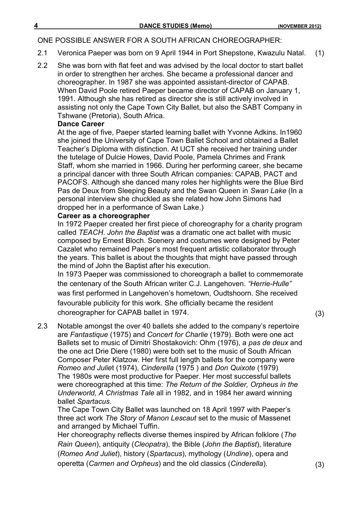#### ONE POSSIBLE ANSWER FOR A SOUTH AFRICAN CHOREOGRAPHER:

- 2.1 Veronica Paeper was born on 9 April 1944 in Port Shepstone, Kwazulu Natal. (1)
- 2.2 She was born with flat feet and was advised by the local doctor to start ballet in order to strengthen her arches. She became a professional dancer and choreographer. In 1987 she was appointed assistant-director of CAPAB. When David Poole retired Paeper became director of CAPAB on January 1, 1991. Although she has retired as director she is still actively involved in assisting not only the Cape Town City Ballet, but also the SABT Company in Tshwane (Pretoria), South Africa.

#### **Dance Career**

At the age of five, Paeper started learning ballet with Yvonne Adkins. In1960 she joined the University of Cape Town Ballet School and obtained a Ballet Teacher's Diploma with distinction. At UCT she received her training under the tutelage of Dulcie Howes, David Poole, Pamela Chrimes and Frank Staff, whom she married in 1966. During her performing career, she became a principal dancer with three South African companies: CAPAB, PACT and PACOFS. Although she danced many roles her highlights were the Blue Bird Pas de Deux from Sleeping Beauty and the Swan Queen in *Swan Lake* (In a personal interview she chuckled as she related how John Simons had dropped her in a performance of Swan Lake.)

#### **Career as a choreographer**

In 1972 Paeper created her first piece of choreography for a charity program called *TEACH*. *John the Baptist* was a dramatic one act ballet with music composed by Ernest Bloch. Scenery and costumes were designed by Peter Cazalet who remained Paeper's most frequent artistic collaborator through the years. This ballet is about the thoughts that might have passed through the mind of John the Baptist after his execution.

In 1973 Paeper was commissioned to choreograph a ballet to commemorate the centenary of the South African writer C.J. Langehoven. *"Herrie-Hulle"* was first performed in Langehoven's hometown, Oudtshoorn. She received favourable publicity for this work. She officially became the resident choreographer for CAPAB ballet in 1974. (3)

2.3 Notable amongst the over 40 ballets she added to the company's repertoire are *Fantastique* (1975) and *Concert for Charlie* (1979). Both were one act Ballets set to music of Dimitri Shostakovich: Ohm (1976), a *pas de deux* and the one act Drie Diere (1980) were both set to the music of South African Composer Peter Klatzow. Her first full length ballets for the company were *Romeo and Julie*t (1974), *Cinderella* (1975 ) and *Don Quixote* (1979) The 1980s were most productive for Paeper. Her most successful ballets were choreographed at this time: *The Return of the Soldier, Orpheus in the Underworld, A Christmas Tale* all in 1982, and in 1984 her award winning ballet *Spartacus*.

The Cape Town City Ballet was launched on 18 April 1997 with Paeper's three act work *The Story of Manon Lescaut* set to the music of Massenet and arranged by Michael Tuffin*.* 

Her choreography reflects diverse themes inspired by African folklore (*The Rain Queen*), antiquity (*Cleopatra*), the Bible (*John the Baptist*), literature (*Romeo And Juliet*), history (*Spartacus*), mythology (*Undine*), opera and operetta (*Carmen and Orpheus*) and the old classics (*Cinderella*). (3)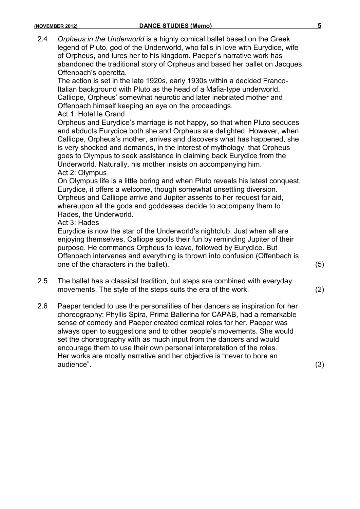- 2.4 *Orpheus in the Underworld* is a highly comical ballet based on the Greek legend of Pluto, god of the Underworld, who falls in love with Eurydice, wife of Orpheus, and lures her to his kingdom. Paeper's narrative work has abandoned the traditional story of Orpheus and based her ballet on Jacques Offenbach's operetta. The action is set in the late 1920s, early 1930s within a decided Franco-Italian background with Pluto as the head of a Mafia-type underworld, Calliope, Orpheus' somewhat neurotic and later inebriated mother and Offenbach himself keeping an eye on the proceedings. Act 1: Hotel le Grand Orpheus and Eurydice's marriage is not happy, so that when Pluto seduces and abducts Eurydice both she and Orpheus are delighted. However, when Calliope, Orpheus's mother, arrives and discovers what has happened, she is very shocked and demands, in the interest of mythology, that Orpheus goes to Olympus to seek assistance in claiming back Eurydice from the Underworld. Naturally, his mother insists on accompanying him. Act 2: Olympus On Olympus life is a little boring and when Pluto reveals his latest conquest, Eurydice, it offers a welcome, though somewhat unsettling diversion. Orpheus and Calliope arrive and Jupiter assents to her request for aid, whereupon all the gods and goddesses decide to accompany them to Hades, the Underworld. Act 3: Hades Eurydice is now the star of the Underworld's nightclub. Just when all are enjoying themselves, Calliope spoils their fun by reminding Jupiter of their purpose. He commands Orpheus to leave, followed by Eurydice. But Offenbach intervenes and everything is thrown into confusion (Offenbach is one of the characters in the ballet). (5) 2.5 The ballet has a classical tradition, but steps are combined with everyday movements. The style of the steps suits the era of the work. (2) 2.6 Paeper tended to use the personalities of her dancers as inspiration for her choreography: Phyllis Spira, Prima Ballerina for CAPAB, had a remarkable
	- sense of comedy and Paeper created comical roles for her. Paeper was always open to suggestions and to other people's movements. She would set the choreography with as much input from the dancers and would encourage them to use their own personal interpretation of the roles. Her works are mostly narrative and her objective is "never to bore an audience". (3)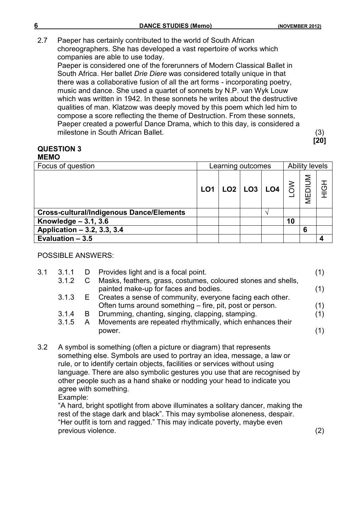2.7 Paeper has certainly contributed to the world of South African choreographers. She has developed a vast repertoire of works which companies are able to use today.

Paeper is considered one of the forerunners of Modern Classical Ballet in South Africa. Her ballet *Drie Diere* was considered totally unique in that there was a collaborative fusion of all the art forms - incorporating poetry, music and dance. She used a quartet of sonnets by N.P. van Wyk Louw which was written in 1942. In these sonnets he writes about the destructive qualities of man. Klatzow was deeply moved by this poem which led him to compose a score reflecting the theme of Destruction. From these sonnets, Paeper created a powerful Dance Drama, which to this day, is considered a milestone in South African Ballet. (3)

**[20]**

#### **QUESTION 3 MEMO**

| <u>IILIIV</u>                                   |                   |  |  |                                                                                                                     |    |   |     |
|-------------------------------------------------|-------------------|--|--|---------------------------------------------------------------------------------------------------------------------|----|---|-----|
| Focus of question                               | Learning outcomes |  |  | <b>Ability levels</b>                                                                                               |    |   |     |
|                                                 | LO1               |  |  | $\begin{array}{ c c c c c }\hline \text{LO2} & \text{LO3} & \text{LO4} & \text{S} & \text{S} \\ \hline \end{array}$ |    |   | HộH |
| <b>Cross-cultural/Indigenous Dance/Elements</b> |                   |  |  |                                                                                                                     |    |   |     |
| Knowledge $-3.1, 3.6$                           |                   |  |  |                                                                                                                     | 10 |   |     |
| Application - 3.2, 3.3, 3.4                     |                   |  |  |                                                                                                                     |    | 6 |     |
| Evaluation $-3.5$                               |                   |  |  |                                                                                                                     |    |   |     |

#### POSSIBLE ANSWERS:

| 3.1                                                                                                                                                                                                                                                                                                                                                                                                               | 3.1.1<br>3.1.2 | D                                                                                                                                                                                                                                                                                            | Provides light and is a focal point.<br>C Masks, feathers, grass, costumes, coloured stones and shells,       | (1) |  |  |  |  |  |
|-------------------------------------------------------------------------------------------------------------------------------------------------------------------------------------------------------------------------------------------------------------------------------------------------------------------------------------------------------------------------------------------------------------------|----------------|----------------------------------------------------------------------------------------------------------------------------------------------------------------------------------------------------------------------------------------------------------------------------------------------|---------------------------------------------------------------------------------------------------------------|-----|--|--|--|--|--|
|                                                                                                                                                                                                                                                                                                                                                                                                                   | 3.1.3          | E.                                                                                                                                                                                                                                                                                           | painted make-up for faces and bodies.<br>Creates a sense of community, everyone facing each other.            | (1) |  |  |  |  |  |
|                                                                                                                                                                                                                                                                                                                                                                                                                   |                |                                                                                                                                                                                                                                                                                              | Often turns around something – fire, pit, post or person.                                                     | (1) |  |  |  |  |  |
|                                                                                                                                                                                                                                                                                                                                                                                                                   | 3.1.4<br>3.1.5 | B<br>A.                                                                                                                                                                                                                                                                                      | Drumming, chanting, singing, clapping, stamping.<br>Movements are repeated rhythmically, which enhances their | (1) |  |  |  |  |  |
|                                                                                                                                                                                                                                                                                                                                                                                                                   |                |                                                                                                                                                                                                                                                                                              | power.                                                                                                        | (1) |  |  |  |  |  |
| 3.2<br>A symbol is something (often a picture or diagram) that represents<br>something else. Symbols are used to portray an idea, message, a law or<br>rule, or to identify certain objects, facilities or services without using<br>language. There are also symbolic gestures you use that are recognised by<br>other people such as a hand shake or nodding your head to indicate you<br>agree with something. |                |                                                                                                                                                                                                                                                                                              |                                                                                                               |     |  |  |  |  |  |
|                                                                                                                                                                                                                                                                                                                                                                                                                   |                | Example:<br>"A hard, bright spotlight from above illuminates a solitary dancer, making the<br>rest of the stage dark and black". This may symbolise aloneness, despair.<br>"Her outfit is torn and ragged." This may indicate poverty, maybe even<br>previous violence.<br>$\left( 2\right)$ |                                                                                                               |     |  |  |  |  |  |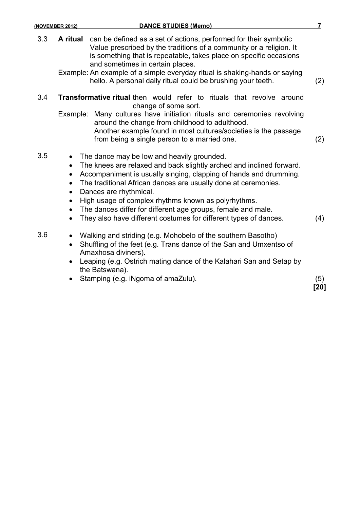- 3.3 **A ritual** can be defined as a set of actions, performed for their symbolic Value prescribed by the traditions of a community or a religion. It is something that is repeatable, takes place on specific occasions and sometimes in certain places.
	- Example: An example of a simple everyday ritual is shaking-hands or saying hello. A personal daily ritual could be brushing your teeth. (2)
- 3.4 **Transformative ritual** then would refer to rituals that revolve around change of some sort.
	- Example: Many cultures have initiation rituals and ceremonies revolving around the change from childhood to adulthood. Another example found in most cultures/societies is the passage from being a single person to a married one. (2)
- 3.5 The dance may be low and heavily grounded.
	- The knees are relaxed and back slightly arched and inclined forward.
	- Accompaniment is usually singing, clapping of hands and drumming.
	- The traditional African dances are usually done at ceremonies.
	- Dances are rhythmical.
	- High usage of complex rhythms known as polyrhythms.
	- The dances differ for different age groups, female and male.
	- They also have different costumes for different types of dances. (4)
- 3.6 Walking and striding (e.g. Mohobelo of the southern Basotho)
	- Shuffling of the feet (e.g. Trans dance of the San and Umxentso of Amaxhosa diviners).
	- Leaping (e.g. Ostrich mating dance of the Kalahari San and Setap by the Batswana).
	- Stamping (e.g. iNgoma of amaZulu). (5)

**[20]**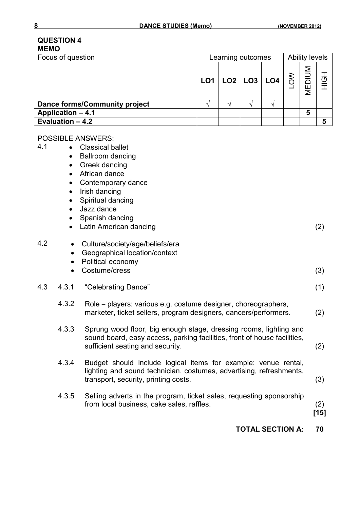#### **QUESTION 4 MEMO**

| Learning outcomes |  |  | <b>Ability levels</b> |  |        |   |
|-------------------|--|--|-----------------------|--|--------|---|
|                   |  |  |                       |  | MEDIUM | ō |
|                   |  |  |                       |  |        |   |
|                   |  |  |                       |  | 5      |   |
|                   |  |  |                       |  |        |   |
|                   |  |  |                       |  |        |   |

#### POSSIBLE ANSWERS:

- 4.1 Classical ballet
	- Ballroom dancing
	- Greek dancing
	- African dance
	- Contemporary dance
	- Irish dancing
	- Spiritual dancing
	- Jazz dance
	- Spanish dancing
	- Latin American dancing (2)

| 4.2 |       | Culture/society/age/beliefs/era<br>Geographical location/context<br>Political economy<br>Costume/dress                                                                            | (3)               |
|-----|-------|-----------------------------------------------------------------------------------------------------------------------------------------------------------------------------------|-------------------|
| 4.3 | 4.3.1 | "Celebrating Dance"                                                                                                                                                               | (1)               |
|     | 4.3.2 | Role – players: various e.g. costume designer, choreographers,<br>marketer, ticket sellers, program designers, dancers/performers.                                                | $\left( 2\right)$ |
|     | 4.3.3 | Sprung wood floor, big enough stage, dressing rooms, lighting and<br>sound board, easy access, parking facilities, front of house facilities,<br>sufficient seating and security. | $\left( 2\right)$ |
|     | 4.3.4 | Budget should include logical items for example: venue rental.                                                                                                                    |                   |

- 4.3.4 Budget should include logical items for example: venue rental, lighting and sound technician, costumes, advertising, refreshments, transport, security, printing costs. (3)
- 4.3.5 Selling adverts in the program, ticket sales, requesting sponsorship from local business, cake sales, raffles. (2)

**[15]**

#### **TOTAL SECTION A: 70**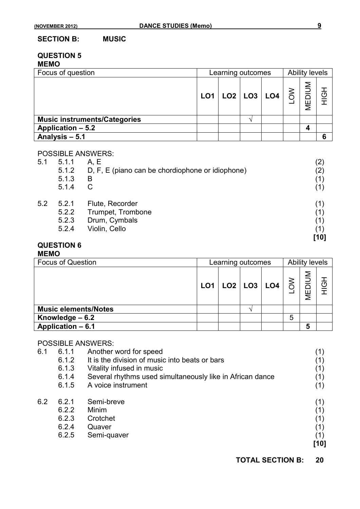#### **SECTION B: MUSIC**

#### **QUESTION 5 MEMO**

| Focus of question                   | Learning outcomes |  |  |                                                                                                                                                                                                                                                                                                                                                                                                                                            | <b>Ability levels</b> |  |     |
|-------------------------------------|-------------------|--|--|--------------------------------------------------------------------------------------------------------------------------------------------------------------------------------------------------------------------------------------------------------------------------------------------------------------------------------------------------------------------------------------------------------------------------------------------|-----------------------|--|-----|
|                                     |                   |  |  | $\begin{array}{ c c c c c } \hline \multicolumn{1}{ c }{\text{LO3}} & \multicolumn{1}{ c }{\text{LO4}} & \multicolumn{1}{ c }{\text{LO4}} & \multicolumn{1}{ c }{\text{LO5}} & \multicolumn{1}{ c }{\text{LO4}} & \multicolumn{1}{ c }{\text{LO4}} & \multicolumn{1}{ c }{\text{LO4}} & \multicolumn{1}{ c }{\text{LO4}} & \multicolumn{1}{ c }{\text{LO4}} & \multicolumn{1}{ c }{\text{LO4}} & \multicolumn{1}{ c }{\text{LO4}} & \mult$ |                       |  | HOI |
| <b>Music instruments/Categories</b> |                   |  |  |                                                                                                                                                                                                                                                                                                                                                                                                                                            |                       |  |     |
| Application - 5.2                   |                   |  |  |                                                                                                                                                                                                                                                                                                                                                                                                                                            |                       |  |     |
| Analysis - 5.1                      |                   |  |  |                                                                                                                                                                                                                                                                                                                                                                                                                                            |                       |  | 6   |

#### POSSIBLE ANSWERS:

| 5.1 | 5.1.1 | A, E                                             | (2)  |
|-----|-------|--------------------------------------------------|------|
|     | 5.1.2 | D, F, E (piano can be chordiophone or idiophone) | (2)  |
|     | 5.1.3 | В                                                | (1)  |
|     | 5.1.4 | С                                                | (1)  |
| 5.2 | 5.2.1 | Flute, Recorder                                  | (1)  |
|     | 5.2.2 | Trumpet, Trombone                                |      |
|     | 5.2.3 | Drum, Cymbals                                    |      |
|     | 5.2.4 | Violin, Cello                                    |      |
|     |       |                                                  | [10] |

### **QUESTION 6**

**MEMO**

| <b>Focus of Question</b>    | Learning outcomes |  |  |                         | <b>Ability levels</b> |                    |  |  |
|-----------------------------|-------------------|--|--|-------------------------|-----------------------|--------------------|--|--|
|                             |                   |  |  | $LO1$ $LO2$ $LO3$ $LO4$ | $rac{8}{10}$          | <b>MNIQ</b><br>MEI |  |  |
| <b>Music elements/Notes</b> |                   |  |  |                         |                       |                    |  |  |
| Knowledge - 6.2             |                   |  |  |                         | 5                     |                    |  |  |
| Application - 6.1           |                   |  |  |                         |                       | 5                  |  |  |

### POSSIBLE ANSWERS:

| 6.1 | 6.1.1 | Another word for speed                                    | (1)  |
|-----|-------|-----------------------------------------------------------|------|
|     | 6.1.2 | It is the division of music into beats or bars            | (1)  |
|     | 6.1.3 | Vitality infused in music                                 | (1)  |
|     | 6.1.4 | Several rhythms used simultaneously like in African dance | (1)  |
|     | 6.1.5 | A voice instrument                                        | (1)  |
| 6.2 | 6.2.1 | Semi-breve                                                | (1)  |
|     | 6.2.2 | Minim                                                     | (1)  |
|     | 6.2.3 | Crotchet                                                  | (1)  |
|     | 6.2.4 | Quaver                                                    | (1)  |
|     | 6.2.5 | Semi-quaver                                               | (1)  |
|     |       |                                                           | [10] |
|     |       |                                                           |      |

**TOTAL SECTION B: 20**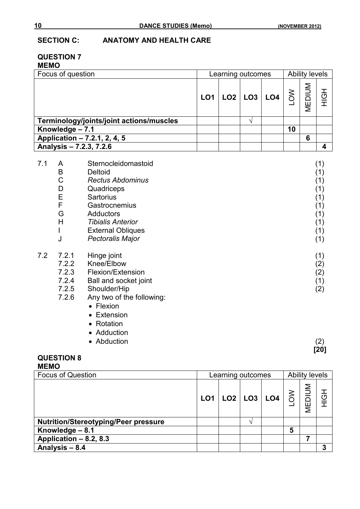### **SECTION C: ANATOMY AND HEALTH CARE**

#### **QUESTION 7 MEMO**

| Focus of question                        | Learning outcomes |  |  |                         | <b>Ability levels</b> |                  |          |
|------------------------------------------|-------------------|--|--|-------------------------|-----------------------|------------------|----------|
|                                          |                   |  |  | $LO1$ $LO2$ $LO3$ $LO4$ |                       | MEDIUM<br>MEDIUM | <u>ල</u> |
| Terminology/joints/joint actions/muscles |                   |  |  |                         |                       |                  |          |
| Knowledge - 7.1                          |                   |  |  |                         | 10                    |                  |          |
| Application - 7.2.1, 2, 4, 5             |                   |  |  |                         |                       | 6                |          |
| Analysis - 7.2.3, 7.2.6                  |                   |  |  |                         |                       |                  |          |

| 7.1 | A     | Sternocleidomastoid       | (1) |
|-----|-------|---------------------------|-----|
|     | B     | <b>Deltoid</b>            | (1) |
|     | C     | <b>Rectus Abdominus</b>   | (1) |
|     | D     | Quadriceps                | (1) |
|     | Ε     | <b>Sartorius</b>          | (1) |
|     | F     | Gastrocnemius             | (1) |
|     | G     | <b>Adductors</b>          | (1) |
|     | H     | <b>Tibialis Anterior</b>  | (1) |
|     |       | <b>External Obliques</b>  | (1) |
|     | J     | Pectoralis Major          | (1) |
| 7.2 | 7.2.1 | Hinge joint               | (1) |
|     | 7.2.2 | Knee/Elbow                | (2) |
|     | 7.2.3 | Flexion/Extension         | (2) |
|     | 7.2.4 | Ball and socket joint     | (1) |
|     | 7.2.5 | Shoulder/Hip              | (2) |
|     | 7.2.6 | Any two of the following: |     |
|     |       | Flexion<br>$\bullet$      |     |
|     |       |                           |     |

- Extension
- Rotation
- Adduction
- Abduction (2)

# **[20]**

## **QUESTION 8**

#### **MEMO**

| <b>Focus of Question</b>                    |                 | Learning outcomes |                 |  |             | <b>Ability levels</b> |      |  |
|---------------------------------------------|-----------------|-------------------|-----------------|--|-------------|-----------------------|------|--|
|                                             | LO <sub>1</sub> |                   | LO2   LO3   LO4 |  | $rac{1}{2}$ | MEDIUM                | HIGH |  |
| <b>Nutrition/Stereotyping/Peer pressure</b> |                 |                   |                 |  |             |                       |      |  |
| Knowledge - 8.1                             |                 |                   |                 |  | 5           |                       |      |  |
| Application - 8.2, 8.3                      |                 |                   |                 |  |             |                       |      |  |
| Analysis - 8.4                              |                 |                   |                 |  |             |                       | 3    |  |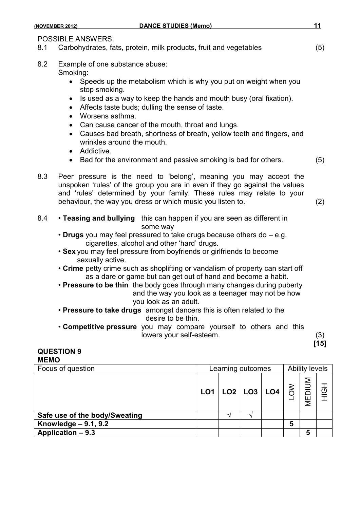| <b>DANCE STUDIES (Memo)</b><br>(NOVEMBER 2012)                                                                                                                                                                                                                                                                                                                                                                                                                                                                                                                                                                                                                                                                                                                                                 | 11            |
|------------------------------------------------------------------------------------------------------------------------------------------------------------------------------------------------------------------------------------------------------------------------------------------------------------------------------------------------------------------------------------------------------------------------------------------------------------------------------------------------------------------------------------------------------------------------------------------------------------------------------------------------------------------------------------------------------------------------------------------------------------------------------------------------|---------------|
| <b>POSSIBLE ANSWERS:</b><br>Carbohydrates, fats, protein, milk products, fruit and vegetables<br>8.1                                                                                                                                                                                                                                                                                                                                                                                                                                                                                                                                                                                                                                                                                           | (5)           |
| 8.2<br>Example of one substance abuse:<br>Smoking:<br>Speeds up the metabolism which is why you put on weight when you<br>stop smoking.<br>Is used as a way to keep the hands and mouth busy (oral fixation).<br>$\bullet$<br>Affects taste buds; dulling the sense of taste.<br>Worsens asthma.<br>$\bullet$<br>Can cause cancer of the mouth, throat and lungs.<br>$\bullet$<br>Causes bad breath, shortness of breath, yellow teeth and fingers, and<br>$\bullet$<br>wrinkles around the mouth.<br>Addictive.<br>$\bullet$                                                                                                                                                                                                                                                                  |               |
| Bad for the environment and passive smoking is bad for others.<br>$\bullet$<br>8.3<br>Peer pressure is the need to 'belong', meaning you may accept the<br>unspoken 'rules' of the group you are in even if they go against the values<br>and 'rules' determined by your family. These rules may relate to your<br>behaviour, the way you dress or which music you listen to.                                                                                                                                                                                                                                                                                                                                                                                                                  | (5)<br>(2)    |
| 8.4<br>. Teasing and bullying this can happen if you are seen as different in<br>some way<br>• Drugs you may feel pressured to take drugs because others do – e.g.<br>cigarettes, alcohol and other 'hard' drugs.<br>• Sex you may feel pressure from boyfriends or girlfriends to become<br>sexually active.<br>• Crime petty crime such as shoplifting or vandalism of property can start off<br>as a dare or game but can get out of hand and become a habit.<br>• Pressure to be thin the body goes through many changes during puberty<br>and the way you look as a teenager may not be how<br>you look as an adult.<br>. Pressure to take drugs amongst dancers this is often related to the<br>desire to be thin.<br>• Competitive pressure you may compare yourself to others and this |               |
| lowers your self-esteem.                                                                                                                                                                                                                                                                                                                                                                                                                                                                                                                                                                                                                                                                                                                                                                       | (3)<br>$[15]$ |

**QUESTION 9**

| <b>MEMO</b>                   |                   |   |  |                                                     |                       |        |     |
|-------------------------------|-------------------|---|--|-----------------------------------------------------|-----------------------|--------|-----|
| Focus of question             | Learning outcomes |   |  |                                                     | <b>Ability levels</b> |        |     |
|                               | LO <sub>1</sub>   |   |  | $\lfloor$ LO2 $\rfloor$ LO3 $\lfloor$ LO4 $\rfloor$ | $\frac{15}{6}$        | MEDIUM | HOH |
| Safe use of the body/Sweating |                   | ́ |  |                                                     |                       |        |     |
| Knowledge - 9.1, 9.2          |                   |   |  |                                                     | 5                     |        |     |
| Application - 9.3             |                   |   |  |                                                     |                       | 5      |     |